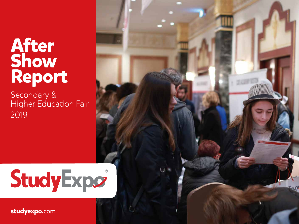# **After Show Report**

Secondary & Higher Education Fair 2019

# StudyExpo

**studyexpo**.com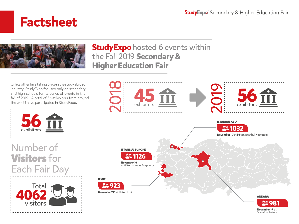### **Factsheet**



#### **StudyExpo** hosted 6 events within the Fall 2019 **Secondary & Higher Education Fair**

Unlike other fairs taking place in the study abroad industry, StudyExpo focused only on secondary and high schools for its series of events in the fall of 2019. A total of 56 exhibitors from around the world have participated in StudyExpo.



Number of Visitors for Each Fair Day



**IZMIR**



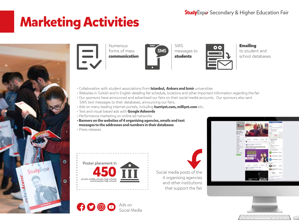# **Marketing Activities**





Numerous forms of mass communication



SMS messages to students



Emailing to student and school databases

- Collaboration with student associations from **Istanbul, Ankara and Izmir** universities
- Websites in Turkish and in English detailing fair schedule, locations and other important information regarding the fair
- Our sponsors have announced and advertised our fairs on their social media accounts. Our sponsors also sent SMS text messages to their databases, announcing our fairs.
- Ads on many leading internet portals, including hurriyet.com, milliyet.com etc.
- Text and visual based ads with **Google Adwords**
- Performance marketing on online ad networks
- **Banners on the websites of 4 organising agencies, emails and text messages to the addresses and numbers in their databases**



Poster placement in private middle schools, high schools and Anatolian high schools **450** 

 $\boldsymbol{\Theta}$   $\boldsymbol{\Theta}$   $\boldsymbol{\Theta}$   $\boldsymbol{\Theta}$ 

Ads on

Social Media

Social media posts of the 4 organising agencies and other institutions that support the fair



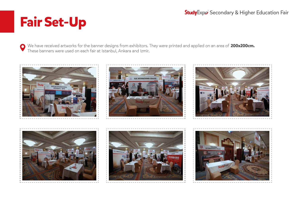# **Fair Set-Up**

We have received artworks for the banner designs from exhibitors. They were printed and applied on an area of **200x200cm.** These banners were used on each fair at Istanbul, Ankara and Izmir.

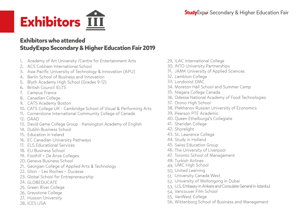

#### **Exhibitors who attended StudyExpo Secondary & Higher Education Fair 2019**

- 1. Academy of Art University /Centre for Entertainment Arts
- 2. ACS Cobham International School
- 3. Asia Pacific University of Technology & Innovation (APU)
- 4. Berlin School of Business and Innovation
- 5. Blyth Academy High School (Grades 9-12)
- 6. British Council IELTS
- 7. Campus France
- 8. Canadian College
- 9. CATS Academy Boston
- 10. CATS College UK Cambridge School of Visual & Performing Arts
- 11. Cornerstone International Community College of Canada
- 12. DAAD
- 13. David Game College Group Kensington Academy of English
- 14. Dublin Business School
- 15. Education in Ireland
- 16. EC Canadian University Pathways
- 17. ELS Educational Services
- 18. EU Business School
- 19. Foothill + De Anza Colleges
- 20. Geneva Business School
- 21. Georgian College of Applied Arts & Technology
- 22. Glion Les Roches Ducasse
- 23. Global School for Entrepreneurship
- 24. GLOBEDUCATE
- 25. Green River College
- 26. Greystone College
- 27. Husson University
- 28. ICES USA
- 29. ILAC International College
- 30. INTO University Partnerships
- 31. JAMK University of Applied Sciences
- 32. Lambton College
- 33. Londonist DMC
- 34. Moreton Hall School and Summer Camp
- 35. Niagara College Canada
- 36. Odessa National Academy of Food Technologies
- 37. Orono High School
- 38. Plekhanov Russian University of Economics
- 39. Pearson PTE Academic
- 40. Queen Ethelburga's Collegiate
- 41. Sheridan College
- 42. Shorelight
- 43. St. Lawrence College
- 44. Study in Holland
- 45. Swiss Education Group
- 46. The University of Liverpool
- 47. Toronto School of Management
- 48. Turkish Airlines
- 49. UMC High School
- 50. United Learning
- 51. University Canada West
- 52. University of Wollongong in Dubai
- 53. U.S. Embassy in Ankara and Consulate General in İstanbul
- 54. Vancouver Film School
- 55. VanWest College
- 56. Wittenborg School of Business and Management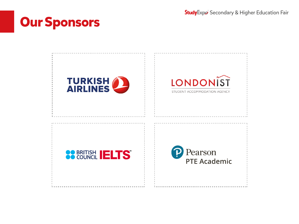# **Our Sponsors**

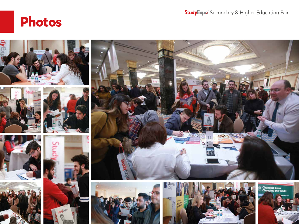